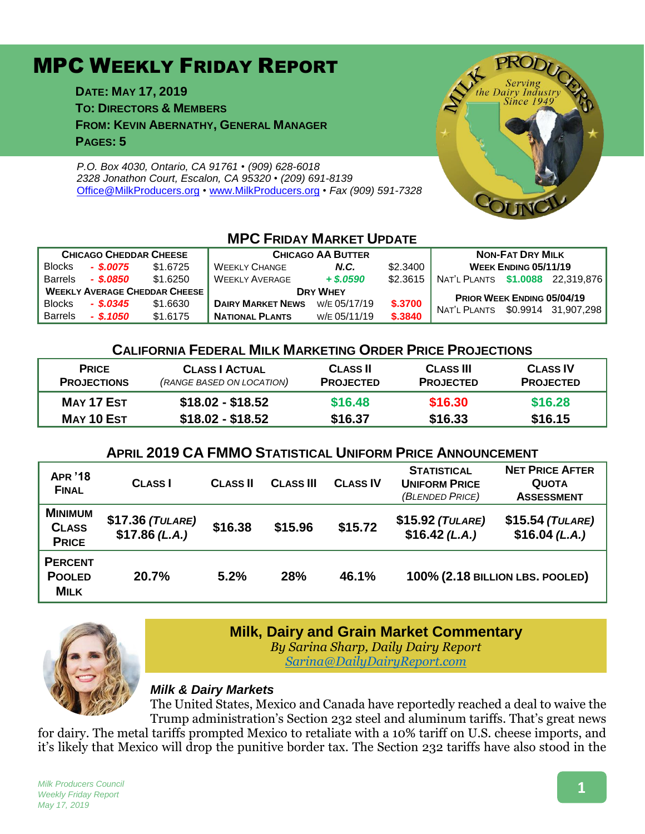# MPC WEEKLY FRIDAY REPORT

**DATE: MAY 17, 2019 TO: DIRECTORS & MEMBERS FROM: KEVIN ABERNATHY, GENERAL MANAGER PAGES: 5**

*P.O. Box 4030, Ontario, CA 91761 • (909) 628-6018 2328 Jonathon Court, Escalon, CA 95320 • (209) 691-8139* [Office@MilkProducers.org](mailto:office@milkproducers.org) *•* [www.MilkProducers.org](http://www.milkproducers.org/) *• Fax (909) 591-7328*



## **MPC FRIDAY MARKET UPDATE**

| <b>CHICAGO CHEDDAR CHEESE</b>        |             |          | <b>CHICAGO AA BUTTER</b>     | <b>NON-FAT DRY MILK</b> |          |                                  |  |  |
|--------------------------------------|-------------|----------|------------------------------|-------------------------|----------|----------------------------------|--|--|
| <b>Blocks</b>                        | - \$.0075   | \$1,6725 | <b>WEEKLY CHANGE</b><br>N.C. |                         | \$2,3400 | <b>WEEK ENDING 05/11/19</b>      |  |  |
| <b>Barrels</b>                       | - \$.0850   | \$1.6250 | <b>WEEKLY AVERAGE</b>        | $+$ \$.0590             | \$2.3615 | NAT'L PLANTS \$1.0088 22,319,876 |  |  |
| <b>WEEKLY AVERAGE CHEDDAR CHEESE</b> |             |          | <b>DRY WHEY</b>              |                         |          | PRIOR WEEK ENDING 05/04/19       |  |  |
| <b>Blocks</b>                        | $-$ \$.0345 | \$1,6630 | <b>DAIRY MARKET NEWS</b>     | W/E 05/17/19            | \$.3700  | NAT'L PLANTS \$0.9914 31,907,298 |  |  |
| <b>Barrels</b>                       | $-$ \$.1050 | \$1.6175 | <b>NATIONAL PLANTS</b>       | W/E 05/11/19            | \$.3840  |                                  |  |  |

#### **CALIFORNIA FEDERAL MILK MARKETING ORDER PRICE PROJECTIONS**

| <b>PRICE</b>       | <b>CLASS   ACTUAL</b>     | <b>CLASS II</b>  | <b>CLASS III</b> | <b>CLASS IV</b>  |
|--------------------|---------------------------|------------------|------------------|------------------|
| <b>PROJECTIONS</b> | (RANGE BASED ON LOCATION) | <b>PROJECTED</b> | <b>PROJECTED</b> | <b>PROJECTED</b> |
| MAY 17 EST         | $$18.02 - $18.52$         | \$16.48          | \$16.30          | \$16.28          |
| MAY 10 EST         | $$18.02 - $18.52$         | \$16.37          | \$16.33          | \$16.15          |

### **APRIL 2019 CA FMMO STATISTICAL UNIFORM PRICE ANNOUNCEMENT**

| <b>APR '18</b><br><b>FINAL</b>                 | <b>CLASS</b>                       | <b>CLASS II</b> | <b>CLASS III</b> | <b>CLASS IV</b> | <b>STATISTICAL</b><br><b>UNIFORM PRICE</b><br>(BLENDED PRICE) | <b>NET PRICE AFTER</b><br><b>QUOTA</b><br><b>ASSESSMENT</b> |
|------------------------------------------------|------------------------------------|-----------------|------------------|-----------------|---------------------------------------------------------------|-------------------------------------------------------------|
| <b>MINIMUM</b><br><b>CLASS</b><br><b>PRICE</b> | $$17.36$ (TULARE)<br>\$17.86(L.A.) | \$16.38         | \$15.96          | \$15.72         | $$15.92$ (TULARE)<br>$$16.42$ (L.A.)                          | $$15.54$ (TULARE)<br>$$16.04$ (L.A.)                        |
| <b>PERCENT</b><br><b>POOLED</b><br><b>MILK</b> | 20.7%                              | 5.2%            | 28%              | 46.1%           | 100% (2.18 BILLION LBS. POOLED)                               |                                                             |



#### **Milk, Dairy and Grain Market Commentary**

*By Sarina Sharp, Daily Dairy Report [Sarina@DailyDairyReport.com](mailto:Sarina@DailyDairyReport.com)*

#### *Milk & Dairy Markets*

The United States, Mexico and Canada have reportedly reached a deal to waive the Trump administration's Section 232 steel and aluminum tariffs. That's great news

for dairy. The metal tariffs prompted Mexico to retaliate with a 10% tariff on U.S. cheese imports, and it's likely that Mexico will drop the punitive border tax. The Section 232 tariffs have also stood in the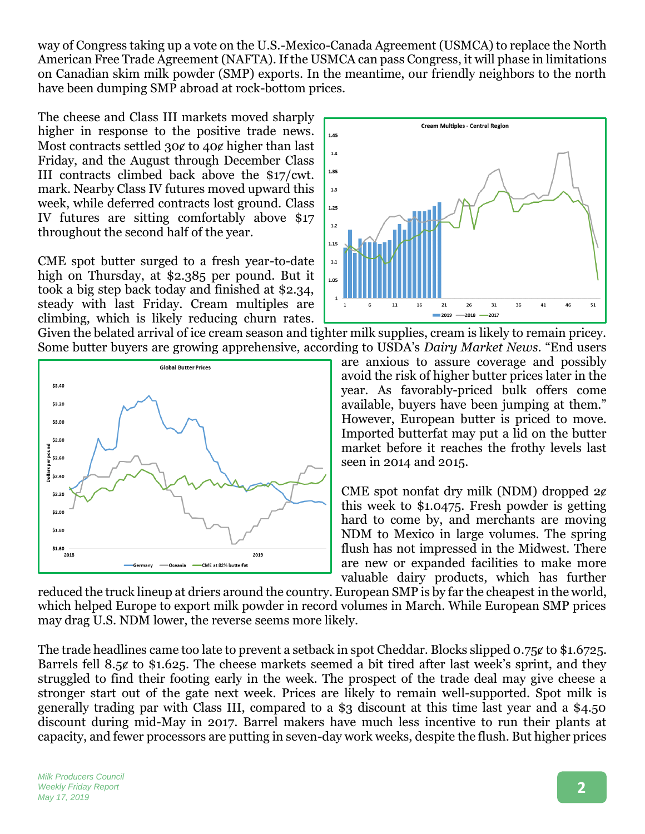way of Congress taking up a vote on the U.S.-Mexico-Canada Agreement (USMCA) to replace the North American Free Trade Agreement (NAFTA). If the USMCA can pass Congress, it will phase in limitations on Canadian skim milk powder (SMP) exports. In the meantime, our friendly neighbors to the north have been dumping SMP abroad at rock-bottom prices.

The cheese and Class III markets moved sharply higher in response to the positive trade news. Most contracts settled 30¢ to 40¢ higher than last Friday, and the August through December Class III contracts climbed back above the \$17/cwt. mark. Nearby Class IV futures moved upward this week, while deferred contracts lost ground. Class IV futures are sitting comfortably above \$17 throughout the second half of the year.

CME spot butter surged to a fresh year-to-date high on Thursday, at \$2.385 per pound. But it took a big step back today and finished at \$2.34, steady with last Friday. Cream multiples are climbing, which is likely reducing churn rates.







are anxious to assure coverage and possibly avoid the risk of higher butter prices later in the year. As favorably-priced bulk offers come available, buyers have been jumping at them." However, European butter is priced to move. Imported butterfat may put a lid on the butter market before it reaches the frothy levels last seen in 2014 and 2015.

CME spot nonfat dry milk (NDM) dropped  $2¢$ this week to \$1.0475. Fresh powder is getting hard to come by, and merchants are moving NDM to Mexico in large volumes. The spring flush has not impressed in the Midwest. There are new or expanded facilities to make more valuable dairy products, which has further

reduced the truck lineup at driers around the country. European SMP is by far the cheapest in the world, which helped Europe to export milk powder in record volumes in March. While European SMP prices may drag U.S. NDM lower, the reverse seems more likely.

The trade headlines came too late to prevent a setback in spot Cheddar. Blocks slipped  $0.75 \notin \{0, 10, 672, 50\}$ Barrels fell 8.5 $\alpha$  to \$1.625. The cheese markets seemed a bit tired after last week's sprint, and they struggled to find their footing early in the week. The prospect of the trade deal may give cheese a stronger start out of the gate next week. Prices are likely to remain well-supported. Spot milk is generally trading par with Class III, compared to a \$3 discount at this time last year and a \$4.50 discount during mid-May in 2017. Barrel makers have much less incentive to run their plants at capacity, and fewer processors are putting in seven-day work weeks, despite the flush. But higher prices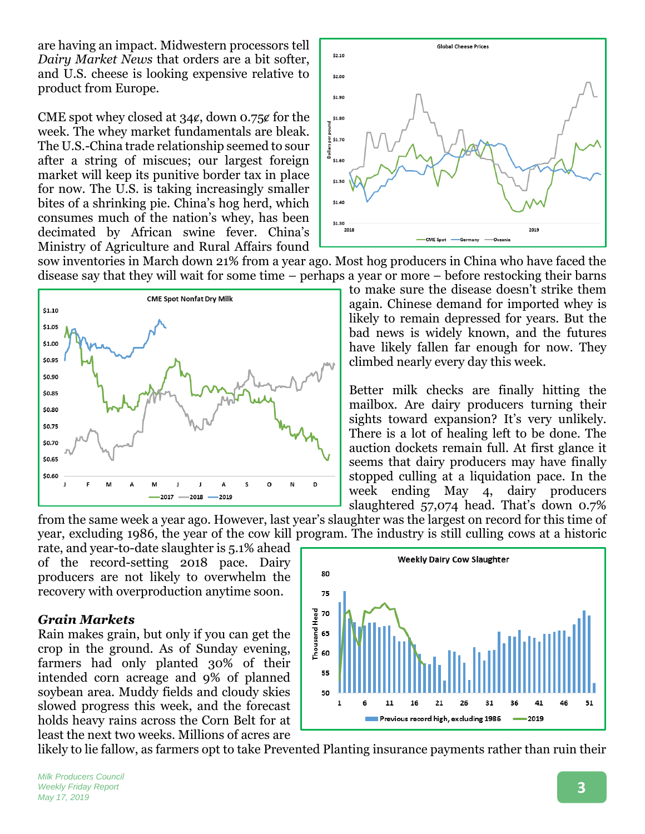are having an impact. Midwestern processors tell *Dairy Market News* that orders are a bit softer, and U.S. cheese is looking expensive relative to product from Europe.

CME spot whey closed at  $34\ell$ , down 0.75 $\ell$  for the week. The whey market fundamentals are bleak. The U.S.-China trade relationship seemed to sour after a string of miscues; our largest foreign market will keep its punitive border tax in place for now. The U.S. is taking increasingly smaller bites of a shrinking pie. China's hog herd, which consumes much of the nation's whey, has been decimated by African swine fever. China's Ministry of Agriculture and Rural Affairs found



sow inventories in March down 21% from a year ago. Most hog producers in China who have faced the disease say that they will wait for some time – perhaps a year or more – before restocking their barns



to make sure the disease doesn't strike them again. Chinese demand for imported whey is likely to remain depressed for years. But the bad news is widely known, and the futures have likely fallen far enough for now. They climbed nearly every day this week.

Better milk checks are finally hitting the mailbox. Are dairy producers turning their sights toward expansion? It's very unlikely. There is a lot of healing left to be done. The auction dockets remain full. At first glance it seems that dairy producers may have finally stopped culling at a liquidation pace. In the week ending May 4, dairy producers slaughtered 57,074 head. That's down 0.7%

from the same week a year ago. However, last year's slaughter was the largest on record for this time of year, excluding 1986, the year of the cow kill program. The industry is still culling cows at a historic

rate, and year-to-date slaughter is 5.1% ahead of the record-setting 2018 pace. Dairy producers are not likely to overwhelm the recovery with overproduction anytime soon.

#### *Grain Markets*

Rain makes grain, but only if you can get the crop in the ground. As of Sunday evening, farmers had only planted 30% of their intended corn acreage and 9% of planned soybean area. Muddy fields and cloudy skies slowed progress this week, and the forecast holds heavy rains across the Corn Belt for at least the next two weeks. Millions of acres are

likely to lie fallow, as farmers opt to take Prevented Planting insurance payments rather than ruin their

**Weekly Dairy Cow Slaughter** 80 75 Thousand Head 70 65 60 55 50 41 51  $\mathbf{1}$ 11 16 21 26 31 36 Previous record high, excluding 1986  $-2019$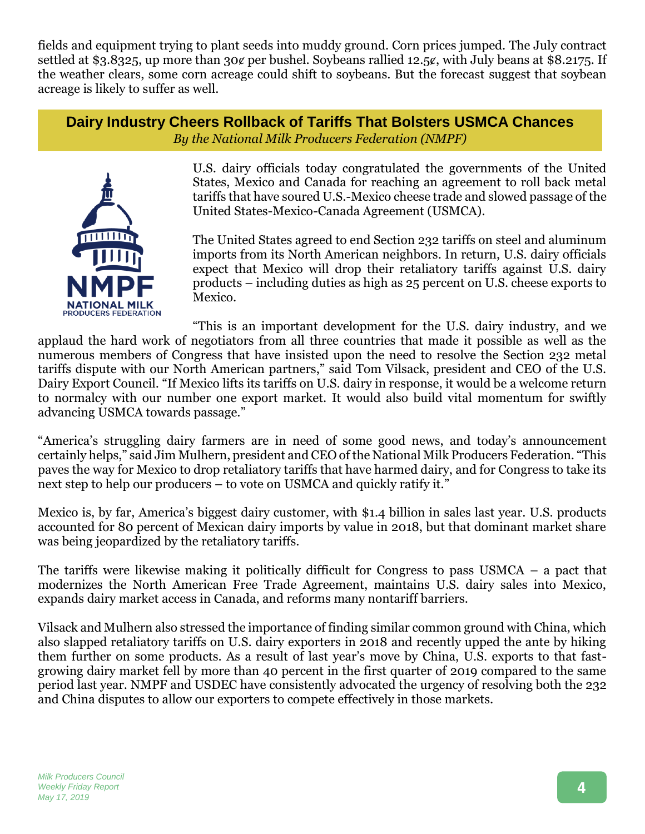fields and equipment trying to plant seeds into muddy ground. Corn prices jumped. The July contract settled at \$3.8325, up more than 30¢ per bushel. Soybeans rallied 12.5¢, with July beans at \$8.2175. If the weather clears, some corn acreage could shift to soybeans. But the forecast suggest that soybean acreage is likely to suffer as well.

**Dairy Industry Cheers Rollback of Tariffs That Bolsters USMCA Chances** *By the National Milk Producers Federation (NMPF)*



U.S. dairy officials today congratulated the governments of the United States, Mexico and Canada for reaching an agreement to roll back metal tariffs that have soured U.S.-Mexico cheese trade and slowed passage of the United States-Mexico-Canada Agreement (USMCA).

The United States agreed to end Section 232 tariffs on steel and aluminum imports from its North American neighbors. In return, U.S. dairy officials expect that Mexico will drop their retaliatory tariffs against U.S. dairy products – including duties as high as 25 percent on U.S. cheese exports to Mexico.

"This is an important development for the U.S. dairy industry, and we applaud the hard work of negotiators from all three countries that made it possible as well as the numerous members of Congress that have insisted upon the need to resolve the Section 232 metal tariffs dispute with our North American partners," said Tom Vilsack, president and CEO of the U.S. Dairy Export Council. "If Mexico lifts its tariffs on U.S. dairy in response, it would be a welcome return to normalcy with our number one export market. It would also build vital momentum for swiftly advancing USMCA towards passage."

"America's struggling dairy farmers are in need of some good news, and today's announcement certainly helps," said Jim Mulhern, president and CEO of the National Milk Producers Federation. "This paves the way for Mexico to drop retaliatory tariffs that have harmed dairy, and for Congress to take its next step to help our producers – to vote on USMCA and quickly ratify it."

Mexico is, by far, America's biggest dairy customer, with \$1.4 billion in sales last year. U.S. products accounted for 80 percent of Mexican dairy imports by value in 2018, but that dominant market share was being jeopardized by the retaliatory tariffs.

The tariffs were likewise making it politically difficult for Congress to pass USMCA – a pact that modernizes the North American Free Trade Agreement, maintains U.S. dairy sales into Mexico, expands dairy market access in Canada, and reforms many nontariff barriers.

Vilsack and Mulhern also stressed the importance of finding similar common ground with China, which also slapped retaliatory tariffs on U.S. dairy exporters in 2018 and recently upped the ante by hiking them further on some products. As a result of last year's move by China, U.S. exports to that fastgrowing dairy market fell by more than 40 percent in the first quarter of 2019 compared to the same period last year. NMPF and USDEC have consistently advocated the urgency of resolving both the 232 and China disputes to allow our exporters to compete effectively in those markets.